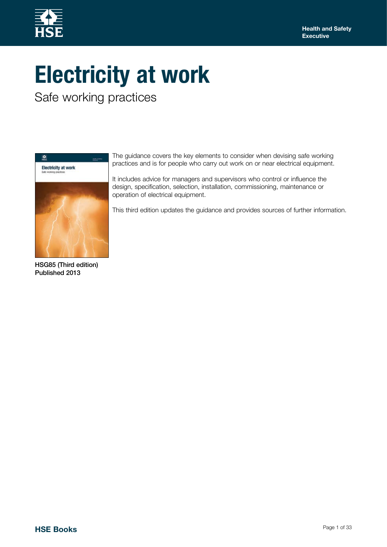

# **Electricity at work**

Safe working practices



HSG85 (Third edition) Published 2013

The guidance covers the key elements to consider when devising safe working practices and is for people who carry out work on or near electrical equipment.

It includes advice for managers and supervisors who control or influence the design, specification, selection, installation, commissioning, maintenance or operation of electrical equipment.

This third edition updates the guidance and provides sources of further information.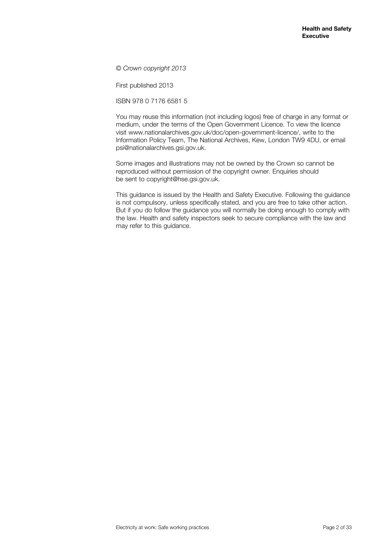*© Crown copyright 2013*

First published 2013

ISBN 978 0 7176 6581 5

You may reuse this information (not including logos) free of charge in any format or medium, under the terms of the Open Government Licence. To view the licence visit www.nationalarchives.gov.uk/doc/open-government-licence/, write to the Information Policy Team, The National Archives, Kew, London TW9 4DU, or email psi@nationalarchives.gsi.gov.uk.

Some images and illustrations may not be owned by the Crown so cannot be reproduced without permission of the copyright owner. Enquiries should be sent to copyright@hse.gsi.gov.uk.

This guidance is issued by the Health and Safety Executive. Following the guidance is not compulsory, unless specifically stated, and you are free to take other action. But if you do follow the guidance you will normally be doing enough to comply with the law. Health and safety inspectors seek to secure compliance with the law and may refer to this guidance.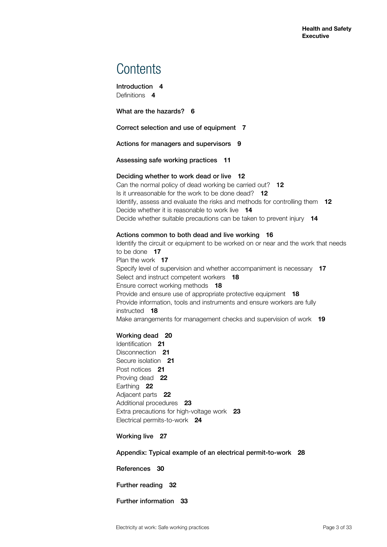### **Contents**

[Introduction](#page-3-0) **4** [Definitions](#page-3-0) **4**

[What are the hazards?](#page-5-0) **6**

[Correct selection and use of equipment](#page-6-0) **7**

[Actions for managers and supervisors](#page-8-0) **9**

[Assessing safe working practices](#page-10-0) **11**

#### [Deciding whether to work dead or live](#page-11-0) **12**

[Can the normal policy of dead working be carried out?](#page-11-0) 1**2** [Is it unreasonable for the work to be done dead?](#page-11-0) **12** [Identify, assess and evaluate the risks and methods for controlling them](#page-11-0) **12** [Decide whether it is reasonable to work live](#page-13-0) **14** [Decide whether suitable precautions can be taken to prevent injury](#page-13-0) **14**

#### [Actions common to both dead and live working](#page-15-0) **16**

[Identify the circuit or equipment to be worked on or near and the work that needs](#page-16-0)  [to be done](#page-16-0) **17** [Plan the work](#page-16-0) **17** [Specify level of supervision and whether accompaniment is necessary](#page-16-0) **17** [Select and instruct competent workers](#page-17-0) **18** [Ensure correct working methods](#page-17-0) **18** [Provide and ensure use of appropriate protective equipment](#page-17-0) **18** [Provide information, tools and instruments and ensure workers are fully](#page-17-0)  [instructed](#page-17-0) **18** [Make arrangements for management checks and supervision of work](#page-18-0) **19**

#### [Working dead](#page-19-0) **20**

[Identification](#page-20-0) **21** [Disconnection](#page-20-0) **21** [Secure isolation](#page-20-0) **21** [Post notices](#page-20-0) **21** [Proving dead](#page-21-0) **22** [Earthing](#page-21-0) **22** [Adjacent parts](#page-21-0) **22** [Additional procedures](#page-22-0) **23** [Extra precautions for high-voltage work](#page-22-0) **23** [Electrical permits-to-work](#page-23-0) **24**

[Working live](#page-26-0) **27**

[Appendix: Typical example of an electrical permit-to-work](#page-27-0) **28**

[References](#page-29-0) **30**

[Further reading](#page-31-0) **32**

[Further information](#page-32-0) **33**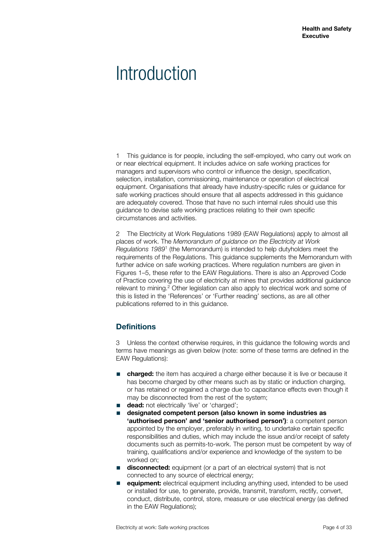### <span id="page-3-0"></span>**Introduction**

1 This guidance is for people, including the self-employed, who carry out work on or near electrical equipment. It includes advice on safe working practices for managers and supervisors who control or influence the design, specification, selection, installation, commissioning, maintenance or operation of electrical equipment. Organisations that already have industry-specific rules or guidance for safe working practices should ensure that all aspects addressed in this guidance are adequately covered. Those that have no such internal rules should use this guidance to devise safe working practices relating to their own specific circumstances and activities.

2 The Electricity at Work Regulations 1989 (EAW Regulations) apply to almost all places of work. The *Memorandum of guidance on the Electricity at Work Regulations 1989*<sup>1</sup> (the Memorandum) is intended to help dutyholders meet the requirements of the Regulations. This guidance supplements the Memorandum with further advice on safe working practices. Where regulation numbers are given in Figures 1–5, these refer to the EAW Regulations. There is also an Approved Code of Practice covering the use of electricity at mines that provides additional guidance relevant to mining.<sup>2</sup> Other legislation can also apply to electrical work and some of this is listed in the 'References' or 'Further reading' sections, as are all other publications referred to in this guidance.

#### **Definitions**

3 Unless the context otherwise requires, in this guidance the following words and terms have meanings as given below (note: some of these terms are defined in the EAW Regulations):

- **charged:** the item has acquired a charge either because it is live or because it has become charged by other means such as by static or induction charging, or has retained or regained a charge due to capacitance effects even though it may be disconnected from the rest of the system;
- **dead:** not electrically 'live' or 'charged';
- **designated competent person (also known in some industries as 'authorised person' and 'senior authorised person')**: a competent person appointed by the employer, preferably in writing, to undertake certain specific responsibilities and duties, which may include the issue and/or receipt of safety documents such as permits-to-work. The person must be competent by way of training, qualifications and/or experience and knowledge of the system to be worked on;
- **disconnected:** equipment (or a part of an electrical system) that is not connected to any source of electrical energy;
- **equipment:** electrical equipment including anything used, intended to be used or installed for use, to generate, provide, transmit, transform, rectify, convert, conduct, distribute, control, store, measure or use electrical energy (as defined in the EAW Regulations);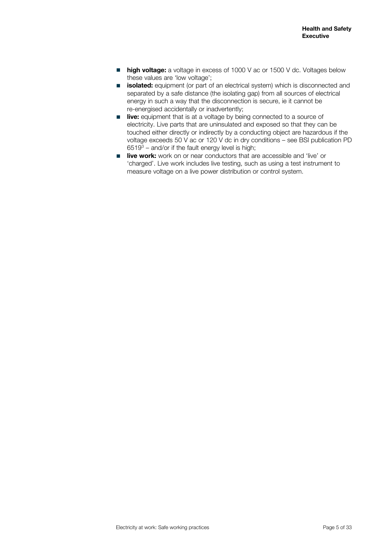- **high voltage:** a voltage in excess of 1000 V ac or 1500 V dc. Voltages below these values are 'low voltage';
- **isolated:** equipment (or part of an electrical system) which is disconnected and separated by a safe distance (the isolating gap) from all sources of electrical energy in such a way that the disconnection is secure, ie it cannot be re-energised accidentally or inadvertently;
- **live:** equipment that is at a voltage by being connected to a source of electricity. Live parts that are uninsulated and exposed so that they can be touched either directly or indirectly by a conducting object are hazardous if the voltage exceeds 50 V ac or 120 V dc in dry conditions – see BSI publication PD  $6519<sup>3</sup>$  – and/or if the fault energy level is high;
- **live work:** work on or near conductors that are accessible and 'live' or 'charged'. Live work includes live testing, such as using a test instrument to measure voltage on a live power distribution or control system.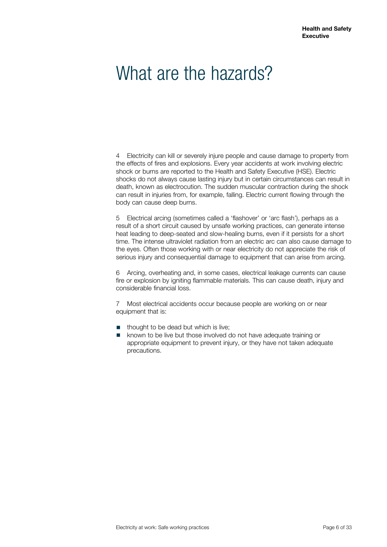### <span id="page-5-0"></span>What are the hazards?

4 Electricity can kill or severely injure people and cause damage to property from the effects of fires and explosions. Every year accidents at work involving electric shock or burns are reported to the Health and Safety Executive (HSE). Electric shocks do not always cause lasting injury but in certain circumstances can result in death, known as electrocution. The sudden muscular contraction during the shock can result in injuries from, for example, falling. Electric current flowing through the body can cause deep burns.

5 Electrical arcing (sometimes called a 'flashover' or 'arc flash'), perhaps as a result of a short circuit caused by unsafe working practices, can generate intense heat leading to deep-seated and slow-healing burns, even if it persists for a short time. The intense ultraviolet radiation from an electric arc can also cause damage to the eyes. Often those working with or near electricity do not appreciate the risk of serious injury and consequential damage to equipment that can arise from arcing.

6 Arcing, overheating and, in some cases, electrical leakage currents can cause fire or explosion by igniting flammable materials. This can cause death, injury and considerable financial loss.

7 Most electrical accidents occur because people are working on or near equipment that is:

- thought to be dead but which is live;
- known to be live but those involved do not have adequate training or appropriate equipment to prevent injury, or they have not taken adequate precautions.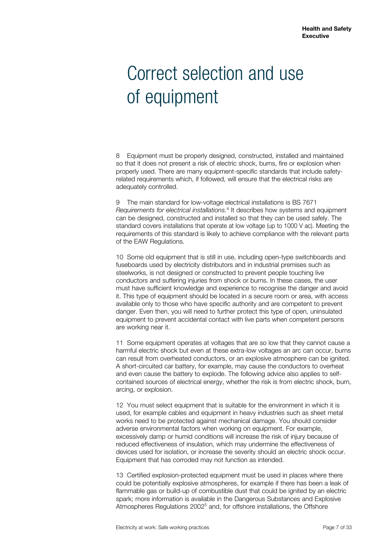### <span id="page-6-0"></span>Correct selection and use of equipment

8 Equipment must be properly designed, constructed, installed and maintained so that it does not present a risk of electric shock, burns, fire or explosion when properly used. There are many equipment-specific standards that include safetyrelated requirements which, if followed, will ensure that the electrical risks are adequately controlled.

9 The main standard for low-voltage electrical installations is BS 7671 *Requirements for electrical installations.*<sup>4</sup> It describes how systems and equipment can be designed, constructed and installed so that they can be used safely. The standard covers installations that operate at low voltage (up to 1000 V ac). Meeting the requirements of this standard is likely to achieve compliance with the relevant parts of the EAW Regulations.

10 Some old equipment that is still in use, including open-type switchboards and fuseboards used by electricity distributors and in industrial premises such as steelworks, is not designed or constructed to prevent people touching live conductors and suffering injuries from shock or burns. In these cases, the user must have sufficient knowledge and experience to recognise the danger and avoid it. This type of equipment should be located in a secure room or area, with access available only to those who have specific authority and are competent to prevent danger. Even then, you will need to further protect this type of open, uninsulated equipment to prevent accidental contact with live parts when competent persons are working near it.

11 Some equipment operates at voltages that are so low that they cannot cause a harmful electric shock but even at these extra-low voltages an arc can occur, burns can result from overheated conductors, or an explosive atmosphere can be ignited. A short-circuited car battery, for example, may cause the conductors to overheat and even cause the battery to explode. The following advice also applies to selfcontained sources of electrical energy, whether the risk is from electric shock, burn, arcing, or explosion.

12 You must select equipment that is suitable for the environment in which it is used, for example cables and equipment in heavy industries such as sheet metal works need to be protected against mechanical damage. You should consider adverse environmental factors when working on equipment. For example, excessively damp or humid conditions will increase the risk of injury because of reduced effectiveness of insulation, which may undermine the effectiveness of devices used for isolation, or increase the severity should an electric shock occur. Equipment that has corroded may not function as intended.

13 Certified explosion-protected equipment must be used in places where there could be potentially explosive atmospheres, for example if there has been a leak of flammable gas or build-up of combustible dust that could be ignited by an electric spark; more information is available in the Dangerous Substances and Explosive Atmospheres Regulations 2002<sup>5</sup> and, for offshore installations, the Offshore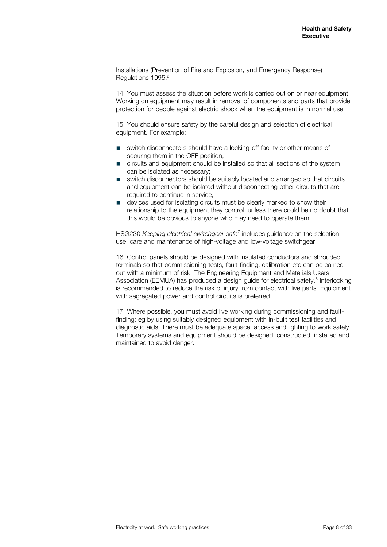Installations (Prevention of Fire and Explosion, and Emergency Response) Regulations 1995.<sup>6</sup>

14 You must assess the situation before work is carried out on or near equipment. Working on equipment may result in removal of components and parts that provide protection for people against electric shock when the equipment is in normal use.

15 You should ensure safety by the careful design and selection of electrical equipment. For example:

- switch disconnectors should have a locking-off facility or other means of securing them in the OFF position;
- circuits and equipment should be installed so that all sections of the system can be isolated as necessary;
- switch disconnectors should be suitably located and arranged so that circuits and equipment can be isolated without disconnecting other circuits that are required to continue in service;
- devices used for isolating circuits must be clearly marked to show their relationship to the equipment they control, unless there could be no doubt that this would be obvious to anyone who may need to operate them.

HSG230 *Keeping electrical switchgear safe*<sup>7</sup> includes guidance on the selection, use, care and maintenance of high-voltage and low-voltage switchgear.

16 Control panels should be designed with insulated conductors and shrouded terminals so that commissioning tests, fault-finding, calibration etc can be carried out with a minimum of risk. The Engineering Equipment and Materials Users' Association (EEMUA) has produced a design guide for electrical safety.<sup>8</sup> Interlocking is recommended to reduce the risk of injury from contact with live parts. Equipment with segregated power and control circuits is preferred.

17 Where possible, you must avoid live working during commissioning and faultfinding; eg by using suitably designed equipment with in-built test facilities and diagnostic aids. There must be adequate space, access and lighting to work safely. Temporary systems and equipment should be designed, constructed, installed and maintained to avoid danger.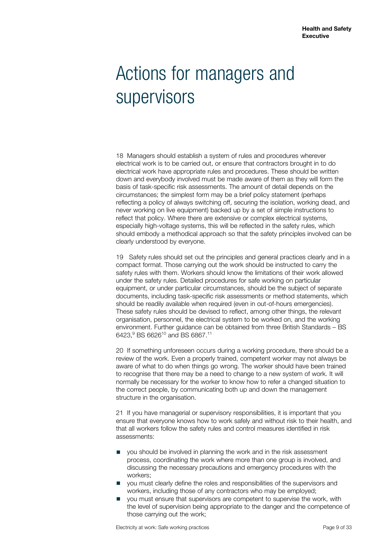### <span id="page-8-0"></span>Actions for managers and supervisors

18 Managers should establish a system of rules and procedures wherever electrical work is to be carried out, or ensure that contractors brought in to do electrical work have appropriate rules and procedures. These should be written down and everybody involved must be made aware of them as they will form the basis of task-specific risk assessments. The amount of detail depends on the circumstances; the simplest form may be a brief policy statement (perhaps reflecting a policy of always switching off, securing the isolation, working dead, and never working on live equipment) backed up by a set of simple instructions to reflect that policy. Where there are extensive or complex electrical systems, especially high-voltage systems, this will be reflected in the safety rules, which should embody a methodical approach so that the safety principles involved can be clearly understood by everyone.

19 Safety rules should set out the principles and general practices clearly and in a compact format. Those carrying out the work should be instructed to carry the safety rules with them. Workers should know the limitations of their work allowed under the safety rules. Detailed procedures for safe working on particular equipment, or under particular circumstances, should be the subject of separate documents, including task-specific risk assessments or method statements, which should be readily available when required (even in out-of-hours emergencies). These safety rules should be devised to reflect, among other things, the relevant organisation, personnel, the electrical system to be worked on, and the working environment. Further guidance can be obtained from three British Standards – BS 6423,<sup>9</sup> BS 6626<sup>10</sup> and BS 6867.<sup>11</sup>

20 If something unforeseen occurs during a working procedure, there should be a review of the work. Even a properly trained, competent worker may not always be aware of what to do when things go wrong. The worker should have been trained to recognise that there may be a need to change to a new system of work. It will normally be necessary for the worker to know how to refer a changed situation to the correct people, by communicating both up and down the management structure in the organisation.

21 If you have managerial or supervisory responsibilities, it is important that you ensure that everyone knows how to work safely and without risk to their health, and that all workers follow the safety rules and control measures identified in risk assessments:

- you should be involved in planning the work and in the risk assessment process, coordinating the work where more than one group is involved, and discussing the necessary precautions and emergency procedures with the workers;
- you must clearly define the roles and responsibilities of the supervisors and workers, including those of any contractors who may be employed;
- you must ensure that supervisors are competent to supervise the work, with the level of supervision being appropriate to the danger and the competence of those carrying out the work;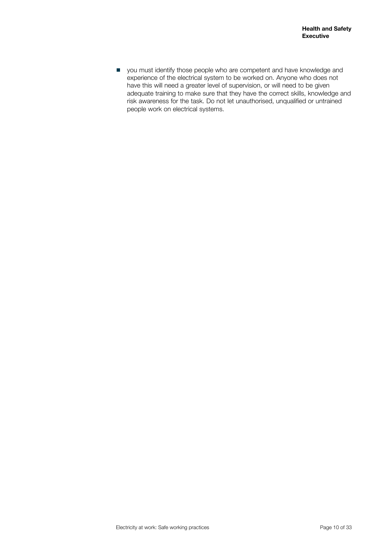■ you must identify those people who are competent and have knowledge and experience of the electrical system to be worked on. Anyone who does not have this will need a greater level of supervision, or will need to be given adequate training to make sure that they have the correct skills, knowledge and risk awareness for the task. Do not let unauthorised, unqualified or untrained people work on electrical systems.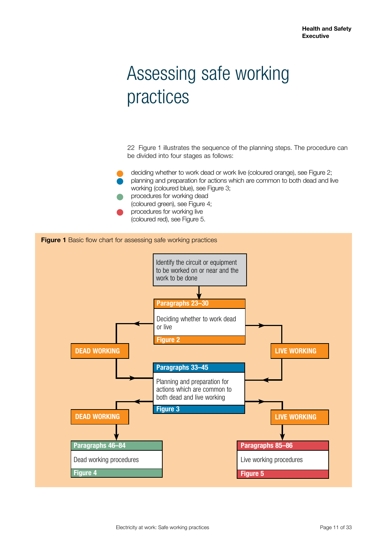## <span id="page-10-0"></span>Assessing safe working practices

22 Figure 1 illustrates the sequence of the planning steps. The procedure can be divided into four stages as follows:

deciding whether to work dead or work live (coloured orange), see Figure 2; l planning and preparation for actions which are common to both dead and live working (coloured blue), see Figure 3;

- procedures for working dead (coloured green), see Figure 4;
- procedures for working live (coloured red), see Figure 5.

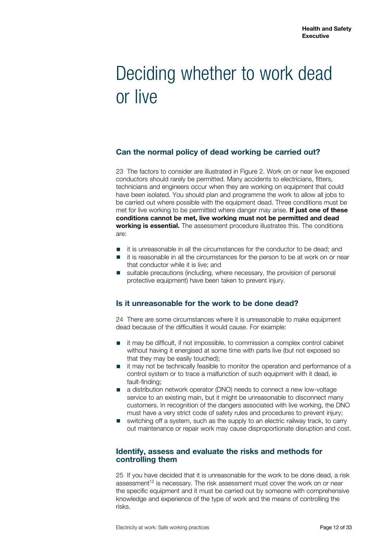### <span id="page-11-0"></span>Deciding whether to work dead or live

#### **Can the normal policy of dead working be carried out?**

23 The factors to consider are illustrated in Figure 2. Work on or near live exposed conductors should rarely be permitted. Many accidents to electricians, fitters, technicians and engineers occur when they are working on equipment that could have been isolated. You should plan and programme the work to allow all jobs to be carried out where possible with the equipment dead. Three conditions must be met for live working to be permitted where danger may arise. **If just one of these conditions cannot be met, live working must not be permitted and dead working is essential.** The assessment procedure illustrates this. The conditions are:

- it is unreasonable in all the circumstances for the conductor to be dead; and
- it is reasonable in all the circumstances for the person to be at work on or near that conductor while it is live; and
- suitable precautions (including, where necessary, the provision of personal protective equipment) have been taken to prevent injury.

#### **Is it unreasonable for the work to be done dead?**

24 There are some circumstances where it is unreasonable to make equipment dead because of the difficulties it would cause. For example:

- it may be difficult, if not impossible, to commission a complex control cabinet without having it energised at some time with parts live (but not exposed so that they may be easily touched);
- it may not be technically feasible to monitor the operation and performance of a control system or to trace a malfunction of such equipment with it dead, ie fault-finding;
- a distribution network operator (DNO) needs to connect a new low-voltage service to an existing main, but it might be unreasonable to disconnect many customers. In recognition of the dangers associated with live working, the DNO must have a very strict code of safety rules and procedures to prevent injury;
- switching off a system, such as the supply to an electric railway track, to carry out maintenance or repair work may cause disproportionate disruption and cost.

#### **Identify, assess and evaluate the risks and methods for controlling them**

25 If you have decided that it is unreasonable for the work to be done dead, a risk assessment<sup>12</sup> is necessary. The risk assessment must cover the work on or near the specific equipment and it must be carried out by someone with comprehensive knowledge and experience of the type of work and the means of controlling the risks.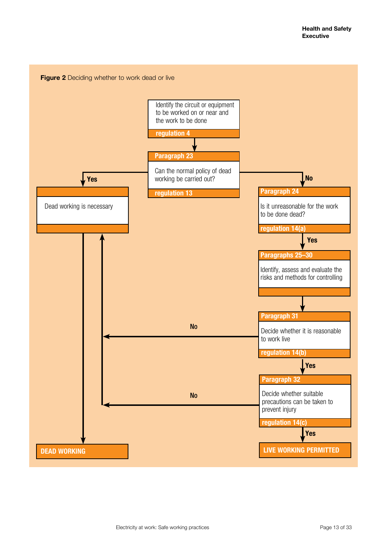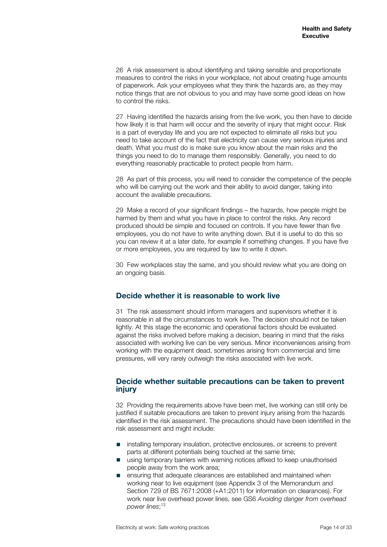<span id="page-13-0"></span>26 A risk assessment is about identifying and taking sensible and proportionate measures to control the risks in your workplace, not about creating huge amounts of paperwork. Ask your employees what they think the hazards are, as they may notice things that are not obvious to you and may have some good ideas on how to control the risks.

27 Having identified the hazards arising from the live work, you then have to decide how likely it is that harm will occur and the severity of injury that might occur. Risk is a part of everyday life and you are not expected to eliminate all risks but you need to take account of the fact that electricity can cause very serious injuries and death. What you must do is make sure you know about the main risks and the things you need to do to manage them responsibly. Generally, you need to do everything reasonably practicable to protect people from harm.

28 As part of this process, you will need to consider the competence of the people who will be carrying out the work and their ability to avoid danger, taking into account the available precautions.

29 Make a record of your significant findings – the hazards, how people might be harmed by them and what you have in place to control the risks. Any record produced should be simple and focused on controls. If you have fewer than five employees, you do not have to write anything down. But it is useful to do this so you can review it at a later date, for example if something changes. If you have five or more employees, you are required by law to write it down.

30 Few workplaces stay the same, and you should review what you are doing on an ongoing basis.

#### **Decide whether it is reasonable to work live**

31 The risk assessment should inform managers and supervisors whether it is reasonable in all the circumstances to work live. The decision should not be taken lightly. At this stage the economic and operational factors should be evaluated against the risks involved before making a decision, bearing in mind that the risks associated with working live can be very serious. Minor inconveniences arising from working with the equipment dead, sometimes arising from commercial and time pressures, will very rarely outweigh the risks associated with live work.

#### **Decide whether suitable precautions can be taken to prevent injury**

32 Providing the requirements above have been met, live working can still only be justified if suitable precautions are taken to prevent injury arising from the hazards identified in the risk assessment. The precautions should have been identified in the risk assessment and might include:

- installing temporary insulation, protective enclosures, or screens to prevent parts at different potentials being touched at the same time;
- using temporary barriers with warning notices affixed to keep unauthorised people away from the work area;
- ensuring that adequate clearances are established and maintained when working near to live equipment (see Appendix 3 of the Memorandum and Section 729 of BS 7671:2008 (+A1:2011) for information on clearances). For work near live overhead power lines, see GS6 *Avoiding danger from overhead power lines*; 13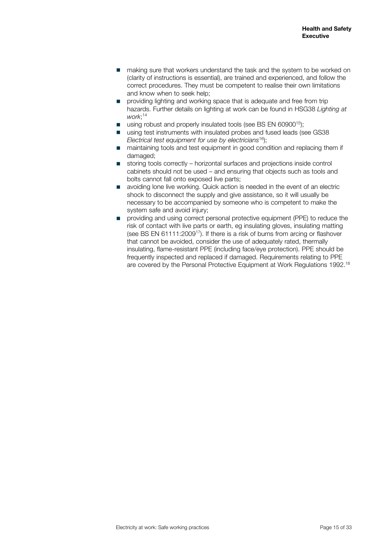- making sure that workers understand the task and the system to be worked on (clarity of instructions is essential), are trained and experienced, and follow the correct procedures. They must be competent to realise their own limitations and know when to seek help;
- providing lighting and working space that is adequate and free from trip hazards. Further details on lighting at work can be found in HSG38 *Lighting at work*; 14
- using robust and properly insulated tools (see BS EN 60900<sup>15</sup>);
- using test instruments with insulated probes and fused leads (see GS38) *Electrical test equipment for use by electricians*16);
- maintaining tools and test equipment in good condition and replacing them if damaged;
- storing tools correctly horizontal surfaces and projections inside control cabinets should not be used – and ensuring that objects such as tools and bolts cannot fall onto exposed live parts;
- avoiding lone live working. Quick action is needed in the event of an electric shock to disconnect the supply and give assistance, so it will usually be necessary to be accompanied by someone who is competent to make the system safe and avoid injury;
- providing and using correct personal protective equipment (PPE) to reduce the risk of contact with live parts or earth, eg insulating gloves, insulating matting (see BS EN 61111:200917). If there is a risk of burns from arcing or flashover that cannot be avoided, consider the use of adequately rated, thermally insulating, flame-resistant PPE (including face/eye protection). PPE should be frequently inspected and replaced if damaged. Requirements relating to PPE are covered by the Personal Protective Equipment at Work Regulations 1992.18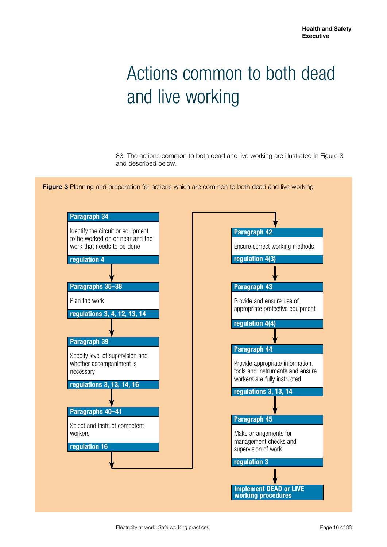## <span id="page-15-0"></span>Actions common to both dead and live working

33 The actions common to both dead and live working are illustrated in Figure 3 and described below.



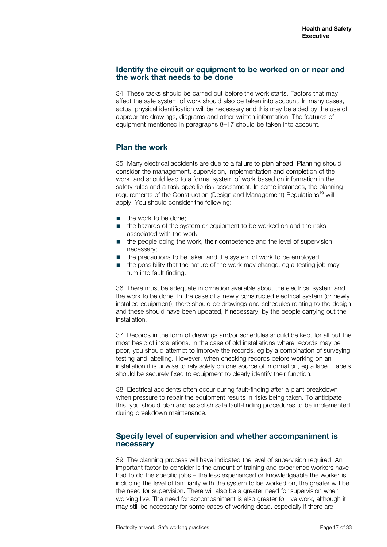#### <span id="page-16-0"></span>**Identify the circuit or equipment to be worked on or near and the work that needs to be done**

34 These tasks should be carried out before the work starts. Factors that may affect the safe system of work should also be taken into account. In many cases, actual physical identification will be necessary and this may be aided by the use of appropriate drawings, diagrams and other written information. The features of equipment mentioned in paragraphs 8–17 should be taken into account.

#### **Plan the work**

35 Many electrical accidents are due to a failure to plan ahead. Planning should consider the management, supervision, implementation and completion of the work, and should lead to a formal system of work based on information in the safety rules and a task-specific risk assessment. In some instances, the planning requirements of the Construction (Design and Management) Regulations<sup>19</sup> will apply. You should consider the following:

- the work to be done:
- the hazards of the system or equipment to be worked on and the risks associated with the work;
- the people doing the work, their competence and the level of supervision necessary;
- the precautions to be taken and the system of work to be employed;
- the possibility that the nature of the work may change, eg a testing job may turn into fault finding.

36 There must be adequate information available about the electrical system and the work to be done. In the case of a newly constructed electrical system (or newly installed equipment), there should be drawings and schedules relating to the design and these should have been updated, if necessary, by the people carrying out the installation.

37 Records in the form of drawings and/or schedules should be kept for all but the most basic of installations. In the case of old installations where records may be poor, you should attempt to improve the records, eg by a combination of surveying, testing and labelling. However, when checking records before working on an installation it is unwise to rely solely on one source of information, eg a label. Labels should be securely fixed to equipment to clearly identify their function.

38 Electrical accidents often occur during fault-finding after a plant breakdown when pressure to repair the equipment results in risks being taken. To anticipate this, you should plan and establish safe fault-finding procedures to be implemented during breakdown maintenance.

#### **Specify level of supervision and whether accompaniment is necessary**

39 The planning process will have indicated the level of supervision required. An important factor to consider is the amount of training and experience workers have had to do the specific jobs – the less experienced or knowledgeable the worker is, including the level of familiarity with the system to be worked on, the greater will be the need for supervision. There will also be a greater need for supervision when working live. The need for accompaniment is also greater for live work, although it may still be necessary for some cases of working dead, especially if there are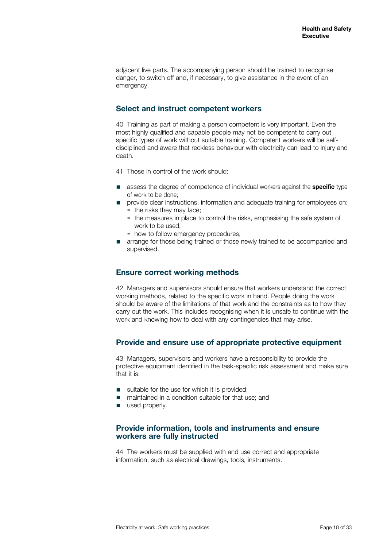<span id="page-17-0"></span>adjacent live parts. The accompanying person should be trained to recognise danger, to switch off and, if necessary, to give assistance in the event of an emergency.

#### **Select and instruct competent workers**

40 Training as part of making a person competent is very important. Even the most highly qualified and capable people may not be competent to carry out specific types of work without suitable training. Competent workers will be selfdisciplined and aware that reckless behaviour with electricity can lead to injury and death.

- 41 Those in control of the work should:
- assess the degree of competence of individual workers against the **specific** type of work to be done;
- provide clear instructions, information and adequate training for employees on: ▬ the risks they may face;
	- the measures in place to control the risks, emphasising the safe system of work to be used;
	- ▬ how to follow emergency procedures;
- arrange for those being trained or those newly trained to be accompanied and supervised.

#### **Ensure correct working methods**

42 Managers and supervisors should ensure that workers understand the correct working methods, related to the specific work in hand. People doing the work should be aware of the limitations of that work and the constraints as to how they carry out the work. This includes recognising when it is unsafe to continue with the work and knowing how to deal with any contingencies that may arise.

#### **Provide and ensure use of appropriate protective equipment**

43 Managers, supervisors and workers have a responsibility to provide the protective equipment identified in the task-specific risk assessment and make sure that it is:

- suitable for the use for which it is provided;<br>■ maintained in a condition suitable for that u
- maintained in a condition suitable for that use; and
- used properly.

#### **Provide information, tools and instruments and ensure workers are fully instructed**

44 The workers must be supplied with and use correct and appropriate information, such as electrical drawings, tools, instruments.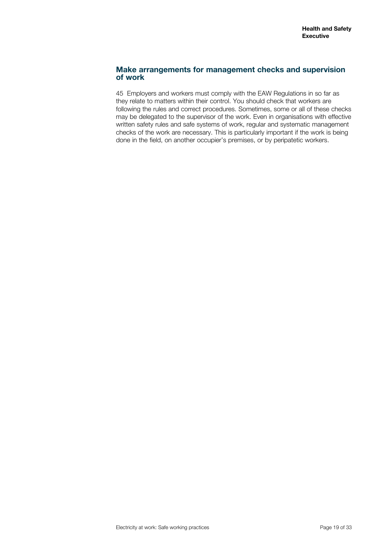#### <span id="page-18-0"></span>**Make arrangements for management checks and supervision of work**

45 Employers and workers must comply with the EAW Regulations in so far as they relate to matters within their control. You should check that workers are following the rules and correct procedures. Sometimes, some or all of these checks may be delegated to the supervisor of the work. Even in organisations with effective written safety rules and safe systems of work, regular and systematic management checks of the work are necessary. This is particularly important if the work is being done in the field, on another occupier's premises, or by peripatetic workers.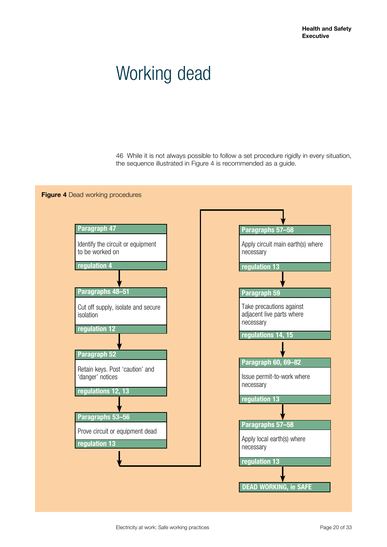### <span id="page-19-0"></span>Working dead

46 While it is not always possible to follow a set procedure rigidly in every situation, the sequence illustrated in Figure 4 is recommended as a guide.

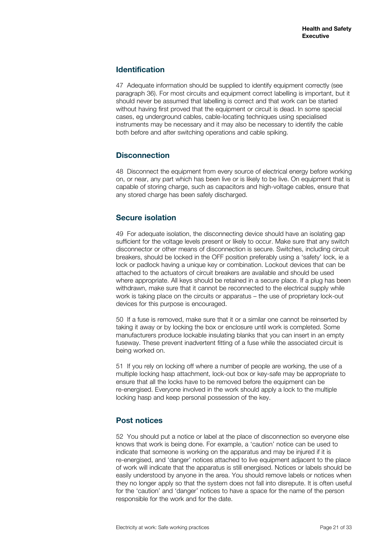#### <span id="page-20-0"></span>**Identification**

47 Adequate information should be supplied to identify equipment correctly (see paragraph 36). For most circuits and equipment correct labelling is important, but it should never be assumed that labelling is correct and that work can be started without having first proved that the equipment or circuit is dead. In some special cases, eg underground cables, cable-locating techniques using specialised instruments may be necessary and it may also be necessary to identify the cable both before and after switching operations and cable spiking.

#### **Disconnection**

48 Disconnect the equipment from every source of electrical energy before working on, or near, any part which has been live or is likely to be live. On equipment that is capable of storing charge, such as capacitors and high-voltage cables, ensure that any stored charge has been safely discharged.

#### **Secure isolation**

49 For adequate isolation, the disconnecting device should have an isolating gap sufficient for the voltage levels present or likely to occur. Make sure that any switch disconnector or other means of disconnection is secure. Switches, including circuit breakers, should be locked in the OFF position preferably using a 'safety' lock, ie a lock or padlock having a unique key or combination. Lockout devices that can be attached to the actuators of circuit breakers are available and should be used where appropriate. All keys should be retained in a secure place. If a plug has been withdrawn, make sure that it cannot be reconnected to the electrical supply while work is taking place on the circuits or apparatus – the use of proprietary lock-out devices for this purpose is encouraged.

50 If a fuse is removed, make sure that it or a similar one cannot be reinserted by taking it away or by locking the box or enclosure until work is completed. Some manufacturers produce lockable insulating blanks that you can insert in an empty fuseway. These prevent inadvertent fitting of a fuse while the associated circuit is being worked on.

51 If you rely on locking off where a number of people are working, the use of a multiple locking hasp attachment, lock-out box or key-safe may be appropriate to ensure that all the locks have to be removed before the equipment can be re-energised. Everyone involved in the work should apply a lock to the multiple locking hasp and keep personal possession of the key.

#### **Post notices**

52 You should put a notice or label at the place of disconnection so everyone else knows that work is being done. For example, a 'caution' notice can be used to indicate that someone is working on the apparatus and may be injured if it is re-energised, and 'danger' notices attached to live equipment adjacent to the place of work will indicate that the apparatus is still energised. Notices or labels should be easily understood by anyone in the area. You should remove labels or notices when they no longer apply so that the system does not fall into disrepute. It is often useful for the 'caution' and 'danger' notices to have a space for the name of the person responsible for the work and for the date.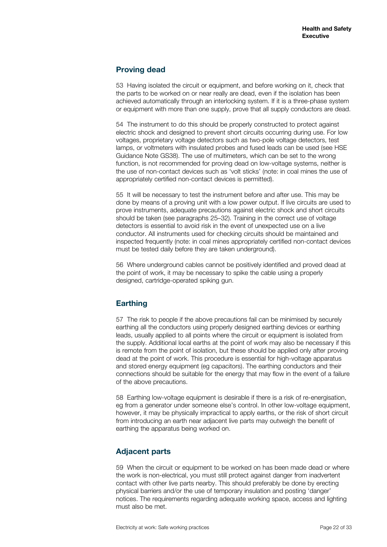#### <span id="page-21-0"></span>**Proving dead**

53 Having isolated the circuit or equipment, and before working on it, check that the parts to be worked on or near really are dead, even if the isolation has been achieved automatically through an interlocking system. If it is a three-phase system or equipment with more than one supply, prove that all supply conductors are dead.

54 The instrument to do this should be properly constructed to protect against electric shock and designed to prevent short circuits occurring during use. For low voltages, proprietary voltage detectors such as two-pole voltage detectors, test lamps, or voltmeters with insulated probes and fused leads can be used (see HSE Guidance Note GS38). The use of multimeters, which can be set to the wrong function, is not recommended for proving dead on low-voltage systems, neither is the use of non-contact devices such as 'volt sticks' (note: in coal mines the use of appropriately certified non-contact devices is permitted).

55 It will be necessary to test the instrument before and after use. This may be done by means of a proving unit with a low power output. If live circuits are used to prove instruments, adequate precautions against electric shock and short circuits should be taken (see paragraphs 25–32). Training in the correct use of voltage detectors is essential to avoid risk in the event of unexpected use on a live conductor. All instruments used for checking circuits should be maintained and inspected frequently (note: in coal mines appropriately certified non-contact devices must be tested daily before they are taken underground).

56 Where underground cables cannot be positively identified and proved dead at the point of work, it may be necessary to spike the cable using a properly designed, cartridge-operated spiking gun.

#### **Earthing**

57 The risk to people if the above precautions fail can be minimised by securely earthing all the conductors using properly designed earthing devices or earthing leads, usually applied to all points where the circuit or equipment is isolated from the supply. Additional local earths at the point of work may also be necessary if this is remote from the point of isolation, but these should be applied only after proving dead at the point of work. This procedure is essential for high-voltage apparatus and stored energy equipment (eg capacitors). The earthing conductors and their connections should be suitable for the energy that may flow in the event of a failure of the above precautions.

58 Earthing low-voltage equipment is desirable if there is a risk of re-energisation, eg from a generator under someone else's control. In other low-voltage equipment, however, it may be physically impractical to apply earths, or the risk of short circuit from introducing an earth near adjacent live parts may outweigh the benefit of earthing the apparatus being worked on.

#### **Adjacent parts**

59 When the circuit or equipment to be worked on has been made dead or where the work is non-electrical, you must still protect against danger from inadvertent contact with other live parts nearby. This should preferably be done by erecting physical barriers and/or the use of temporary insulation and posting 'danger' notices. The requirements regarding adequate working space, access and lighting must also be met.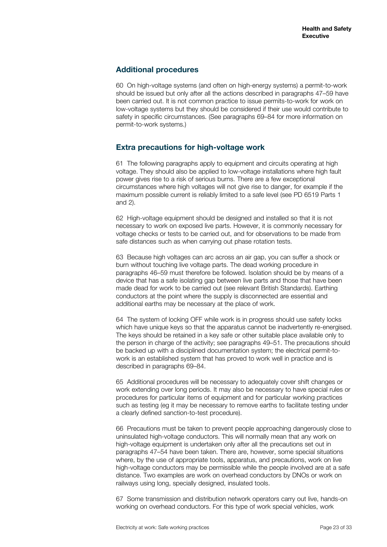#### <span id="page-22-0"></span>**Additional procedures**

60 On high-voltage systems (and often on high-energy systems) a permit-to-work should be issued but only after all the actions described in paragraphs 47–59 have been carried out. It is not common practice to issue permits-to-work for work on low-voltage systems but they should be considered if their use would contribute to safety in specific circumstances. (See paragraphs 69–84 for more information on permit-to-work systems.)

#### **Extra precautions for high-voltage work**

61 The following paragraphs apply to equipment and circuits operating at high voltage. They should also be applied to low-voltage installations where high fault power gives rise to a risk of serious burns. There are a few exceptional circumstances where high voltages will not give rise to danger, for example if the maximum possible current is reliably limited to a safe level (see PD 6519 Parts 1 and 2).

62 High-voltage equipment should be designed and installed so that it is not necessary to work on exposed live parts. However, it is commonly necessary for voltage checks or tests to be carried out, and for observations to be made from safe distances such as when carrying out phase rotation tests.

63 Because high voltages can arc across an air gap, you can suffer a shock or burn without touching live voltage parts. The dead working procedure in paragraphs 46–59 must therefore be followed. Isolation should be by means of a device that has a safe isolating gap between live parts and those that have been made dead for work to be carried out (see relevant British Standards). Earthing conductors at the point where the supply is disconnected are essential and additional earths may be necessary at the place of work.

64 The system of locking OFF while work is in progress should use safety locks which have unique keys so that the apparatus cannot be inadvertently re-energised. The keys should be retained in a key safe or other suitable place available only to the person in charge of the activity; see paragraphs 49–51. The precautions should be backed up with a disciplined documentation system; the electrical permit-towork is an established system that has proved to work well in practice and is described in paragraphs 69–84.

65 Additional procedures will be necessary to adequately cover shift changes or work extending over long periods. It may also be necessary to have special rules or procedures for particular items of equipment and for particular working practices such as testing (eg it may be necessary to remove earths to facilitate testing under a clearly defined sanction-to-test procedure).

66 Precautions must be taken to prevent people approaching dangerously close to uninsulated high-voltage conductors. This will normally mean that any work on high-voltage equipment is undertaken only after all the precautions set out in paragraphs 47–54 have been taken. There are, however, some special situations where, by the use of appropriate tools, apparatus, and precautions, work on live high-voltage conductors may be permissible while the people involved are at a safe distance. Two examples are work on overhead conductors by DNOs or work on railways using long, specially designed, insulated tools.

67 Some transmission and distribution network operators carry out live, hands-on working on overhead conductors. For this type of work special vehicles, work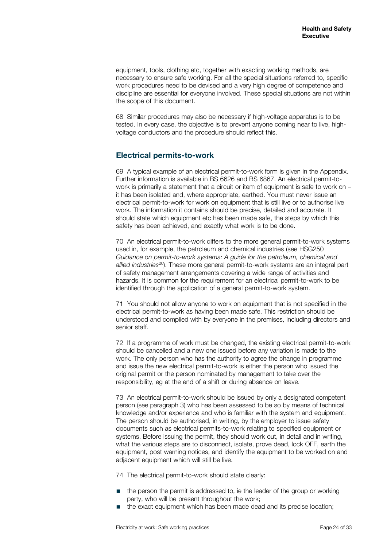<span id="page-23-0"></span>equipment, tools, clothing etc, together with exacting working methods, are necessary to ensure safe working. For all the special situations referred to, specific work procedures need to be devised and a very high degree of competence and discipline are essential for everyone involved. These special situations are not within the scope of this document.

68 Similar procedures may also be necessary if high-voltage apparatus is to be tested. In every case, the objective is to prevent anyone coming near to live, highvoltage conductors and the procedure should reflect this.

#### **Electrical permits-to-work**

69 A typical example of an electrical permit-to-work form is given in the Appendix. Further information is available in BS 6626 and BS 6867. An electrical permit-towork is primarily a statement that a circuit or item of equipment is safe to work on – it has been isolated and, where appropriate, earthed. You must never issue an electrical permit-to-work for work on equipment that is still live or to authorise live work. The information it contains should be precise, detailed and accurate. It should state which equipment etc has been made safe, the steps by which this safety has been achieved, and exactly what work is to be done.

70 An electrical permit-to-work differs to the more general permit-to-work systems used in, for example, the petroleum and chemical industries (see HSG250 *Guidance on permit-to-work systems: A guide for the petroleum, chemical and allied industries*20). These more general permit-to-work systems are an integral part of safety management arrangements covering a wide range of activities and hazards. It is common for the requirement for an electrical permit-to-work to be identified through the application of a general permit-to-work system.

71 You should not allow anyone to work on equipment that is not specified in the electrical permit-to-work as having been made safe. This restriction should be understood and complied with by everyone in the premises, including directors and senior staff.

72 If a programme of work must be changed, the existing electrical permit-to-work should be cancelled and a new one issued before any variation is made to the work. The only person who has the authority to agree the change in programme and issue the new electrical permit-to-work is either the person who issued the original permit or the person nominated by management to take over the responsibility, eg at the end of a shift or during absence on leave.

73 An electrical permit-to-work should be issued by only a designated competent person (see paragraph 3) who has been assessed to be so by means of technical knowledge and/or experience and who is familiar with the system and equipment. The person should be authorised, in writing, by the employer to issue safety documents such as electrical permits-to-work relating to specified equipment or systems. Before issuing the permit, they should work out, in detail and in writing, what the various steps are to disconnect, isolate, prove dead, lock OFF, earth the equipment, post warning notices, and identify the equipment to be worked on and adjacent equipment which will still be live.

74 The electrical permit-to-work should state clearly:

- the person the permit is addressed to, ie the leader of the group or working party, who will be present throughout the work;
- the exact equipment which has been made dead and its precise location;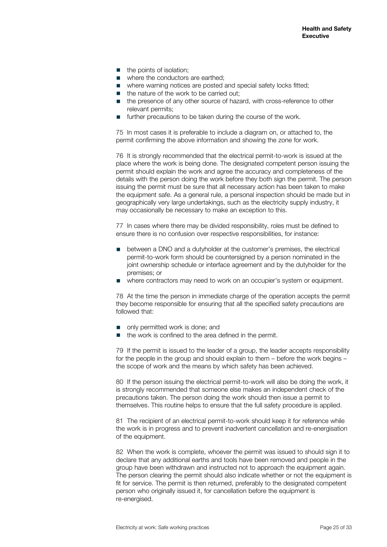- the points of isolation:
- where the conductors are earthed:
- where warning notices are posted and special safety locks fitted:
- the nature of the work to be carried out;
- the presence of any other source of hazard, with cross-reference to other relevant permits;
- further precautions to be taken during the course of the work.

75 In most cases it is preferable to include a diagram on, or attached to, the permit confirming the above information and showing the zone for work.

76 It is strongly recommended that the electrical permit-to-work is issued at the place where the work is being done. The designated competent person issuing the permit should explain the work and agree the accuracy and completeness of the details with the person doing the work before they both sign the permit. The person issuing the permit must be sure that all necessary action has been taken to make the equipment safe. As a general rule, a personal inspection should be made but in geographically very large undertakings, such as the electricity supply industry, it may occasionally be necessary to make an exception to this.

77 In cases where there may be divided responsibility, roles must be defined to ensure there is no confusion over respective responsibilities, for instance:

- between a DNO and a dutyholder at the customer's premises, the electrical permit-to-work form should be countersigned by a person nominated in the joint ownership schedule or interface agreement and by the dutyholder for the premises; or
- where contractors may need to work on an occupier's system or equipment.

78 At the time the person in immediate charge of the operation accepts the permit they become responsible for ensuring that all the specified safety precautions are followed that:

- only permitted work is done; and
- the work is confined to the area defined in the permit.

79 If the permit is issued to the leader of a group, the leader accepts responsibility for the people in the group and should explain to them – before the work begins – the scope of work and the means by which safety has been achieved.

80 If the person issuing the electrical permit-to-work will also be doing the work, it is strongly recommended that someone else makes an independent check of the precautions taken. The person doing the work should then issue a permit to themselves. This routine helps to ensure that the full safety procedure is applied.

81 The recipient of an electrical permit-to-work should keep it for reference while the work is in progress and to prevent inadvertent cancellation and re-energisation of the equipment.

82 When the work is complete, whoever the permit was issued to should sign it to declare that any additional earths and tools have been removed and people in the group have been withdrawn and instructed not to approach the equipment again. The person clearing the permit should also indicate whether or not the equipment is fit for service. The permit is then returned, preferably to the designated competent person who originally issued it, for cancellation before the equipment is re-energised.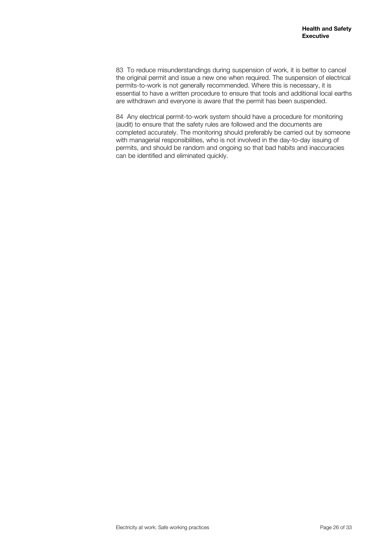83 To reduce misunderstandings during suspension of work, it is better to cancel the original permit and issue a new one when required. The suspension of electrical permits-to-work is not generally recommended. Where this is necessary, it is essential to have a written procedure to ensure that tools and additional local earths are withdrawn and everyone is aware that the permit has been suspended.

84 Any electrical permit-to-work system should have a procedure for monitoring (audit) to ensure that the safety rules are followed and the documents are completed accurately. The monitoring should preferably be carried out by someone with managerial responsibilities, who is not involved in the day-to-day issuing of permits, and should be random and ongoing so that bad habits and inaccuracies can be identified and eliminated quickly.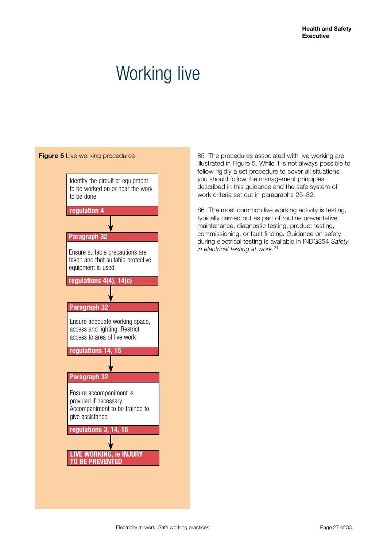### <span id="page-26-0"></span>Working live



85 The procedures associated with live working are illustrated in Figure 5. While it is not always possible to follow rigidly a set procedure to cover all situations. you should follow the management principles described in this guidance and the safe system of work criteria set out in paragraphs 25–32.

86 The most common live working activity is testing, typically carried out as part of routine preventative maintenance, diagnostic testing, product testing, commissioning, or fault finding. Guidance on safety during electrical testing is available in INDG354 *Safety in electrical testing at work*. 21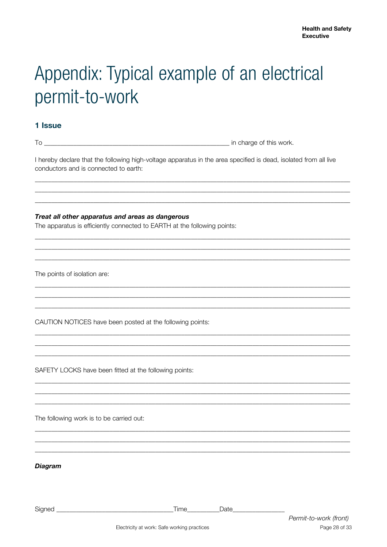## <span id="page-27-0"></span>Appendix: Typical example of an electrical permit-to-work

#### 1 Issue

I hereby declare that the following high-voltage apparatus in the area specified is dead, isolated from all live conductors and is connected to earth:

Treat all other apparatus and areas as dangerous

The apparatus is efficiently connected to EARTH at the following points:

The points of isolation are:

CAUTION NOTICES have been posted at the following points:

SAFETY LOCKS have been fitted at the following points:

The following work is to be carried out:

**Diagram** 

Signed Date **Date**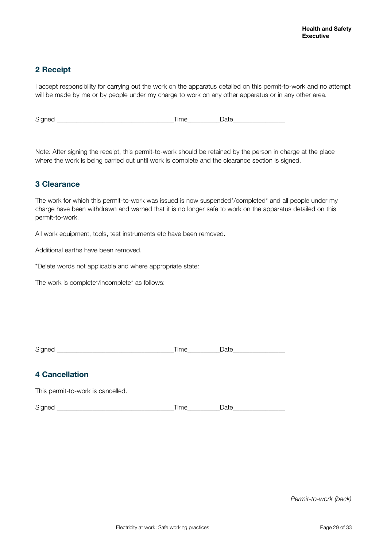#### **2 Receipt**

I accept responsibility for carrying out the work on the apparatus detailed on this permit-to-work and no attempt will be made by me or by people under my charge to work on any other apparatus or in any other area.

Signed \_\_\_\_\_\_\_\_\_\_\_\_\_\_\_\_\_\_\_\_\_\_\_\_\_\_\_\_\_\_\_\_\_\_\_\_Time\_\_\_\_\_\_\_\_\_\_Date\_\_\_\_\_\_\_\_\_\_\_\_\_\_\_\_

Note: After signing the receipt, this permit-to-work should be retained by the person in charge at the place where the work is being carried out until work is complete and the clearance section is signed.

#### **3 Clearance**

The work for which this permit-to-work was issued is now suspended\*/completed\* and all people under my charge have been withdrawn and warned that it is no longer safe to work on the apparatus detailed on this permit-to-work.

All work equipment, tools, test instruments etc have been removed.

Additional earths have been removed.

\*Delete words not applicable and where appropriate state:

The work is complete\*/incomplete\* as follows:

| -<br>י<br>◡ |  |  |
|-------------|--|--|
|             |  |  |

#### **4 Cancellation**

This permit-to-work is cancelled.

Signed \_\_\_\_\_\_\_\_\_\_\_\_\_\_\_\_\_\_\_\_\_\_\_\_\_\_\_\_\_\_\_\_\_\_\_\_Time\_\_\_\_\_\_\_\_\_\_Date\_\_\_\_\_\_\_\_\_\_\_\_\_\_\_\_

*Permit-to-work (back)*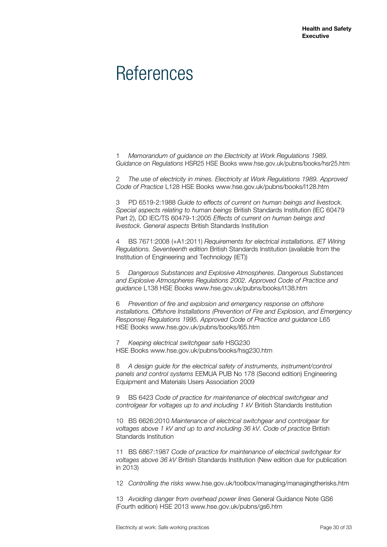### <span id="page-29-0"></span>**References**

1 *Memorandum of guidance on the Electricity at Work Regulations 1989. Guidance on Regulations* HSR25 HSE Books www.hse.gov.uk/pubns/books/hsr25.htm

2 *The use of electricity in mines. Electricity at Work Regulations 1989. Approved Code of Practice* L128 HSE Books www.hse.gov.uk/pubns/books/l128.htm

3 PD 6519-2:1988 *Guide to effects of current on human beings and livestock. Special aspects relating to human beings* British Standards Institution (IEC 60479 Part 2), DD IEC/TS 60479-1:2005 *Effects of current on human beings and livestock. General aspects* British Standards Institution

4 BS 7671:2008 (+A1:2011) *Requirements for electrical installations. IET Wiring Regulations. Seventeenth edition* British Standards Institution (available from the Institution of Engineering and Technology (IET))

5 *Dangerous Substances and Explosive Atmospheres. Dangerous Substances and Explosive Atmospheres Regulations 2002. Approved Code of Practice and guidance* L138 HSE Books www.hse.gov.uk/pubns/books/l138.htm

6 *Prevention of fire and explosion and emergency response on offshore installations. Offshore Installations (Prevention of Fire and Explosion, and Emergency Response) Regulations 1995. Approved Code of Practice and guidance* L65 HSE Books www.hse.gov.uk/pubns/books/l65.htm

7 *Keeping electrical switchgear safe* HSG230 HSE Books www.hse.gov.uk/pubns/books/hsg230.htm

8 *A design guide for the electrical safety of instruments, instrument/control panels and control systems* EEMUA PUB No 178 (Second edition) Engineering Equipment and Materials Users Association 2009

9 BS 6423 *Code of practice for maintenance of electrical switchgear and controlgear for voltages up to and including 1 kV* British Standards Institution

10 BS 6626:2010 *Maintenance of electrical switchgear and controlgear for voltages above 1 kV and up to and including 36 kV. Code of practice* British Standards Institution

11 BS 6867:1987 *Code of practice for maintenance of electrical switchgear for voltages above 36 kV* British Standards Institution (New edition due for publication in 2013)

12 *Controlling the risks* www.hse.gov.uk/toolbox/managing/managingtherisks.htm

13 *Avoiding danger from overhead power lines* General Guidance Note GS6 (Fourth edition) HSE 2013 www.hse.gov.uk/pubns/gs6.htm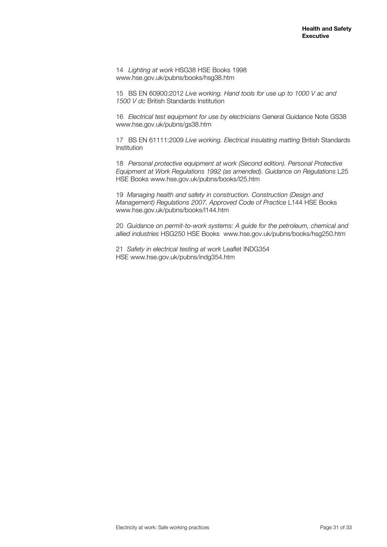14 *Lighting at work* HSG38 HSE Books 1998 www.hse.gov.uk/pubns/books/hsg38.htm

15 BS EN 60900:2012 *Live working. Hand tools for use up to 1000 V ac and 1500 V dc* British Standards Institution

16 *Electrical test equipment for use by electricians* General Guidance Note GS38 www.hse.gov.uk/pubns/gs38.htm

17 BS EN 61111:2009 *Live working. Electrical insulating matting* British Standards Institution

18 *Personal protective equipment at work (Second edition). Personal Protective Equipment at Work Regulations 1992 (as amended). Guidance on Regulations* L25 HSE Books www.hse.gov.uk/pubns/books/l25.htm

19 *Managing health and safety in construction. Construction (Design and Management) Regulations 2007. Approved Code of Practice* L144 HSE Books www.hse.gov.uk/pubns/books/l144.htm

20 *Guidance on permit-to-work systems: A guide for the petroleum, chemical and allied industries* HSG250 HSE Books [www.hse.gov.uk/pubns/books/hsg250.htm](http://www.hse.gov.uk/pubns/books/hsg250.htm)

21 *Safety in electrical testing at work* Leaflet INDG354 HSE www.hse.gov.uk/pubns/indg354.htm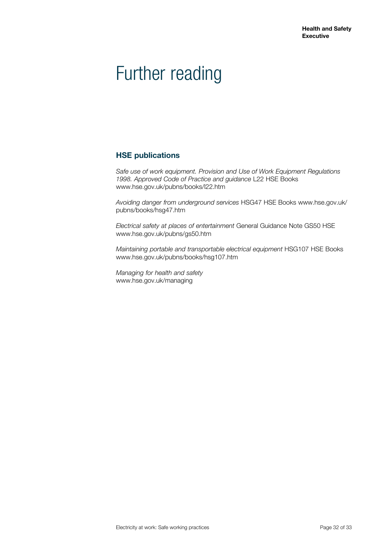### <span id="page-31-0"></span>Further reading

#### **HSE publications**

*Safe use of work equipment. Provision and Use of Work Equipment Regulations 1998. Approved Code of Practice and guidance* L22 HSE Books [www.hse.gov.uk/pubns/books/l22.htm](http://www.hse.gov.uk/pubns/books/l22.htm)

*Avoiding danger from underground services* HSG47 HSE Books [www.hse.gov.uk/](http://www.hse.gov.uk/pubns/books/hsg47.htm) [pubns/books/hsg47.htm](http://www.hse.gov.uk/pubns/books/hsg47.htm)

*Electrical safety at places of entertainment* General Guidance Note GS50 HSE [www.hse.gov.uk/pubns/gs50.htm](http://www.hse.gov.uk/pubns/gs50.htm)

*Maintaining portable and transportable electrical equipment* HSG107 HSE Books [www.hse.gov.uk/pubns/books/hsg107.htm](http://www.hse.gov.uk/pubns/books/hsg107.htm)

*Managing for health and safety* www.hse.gov.uk/managing